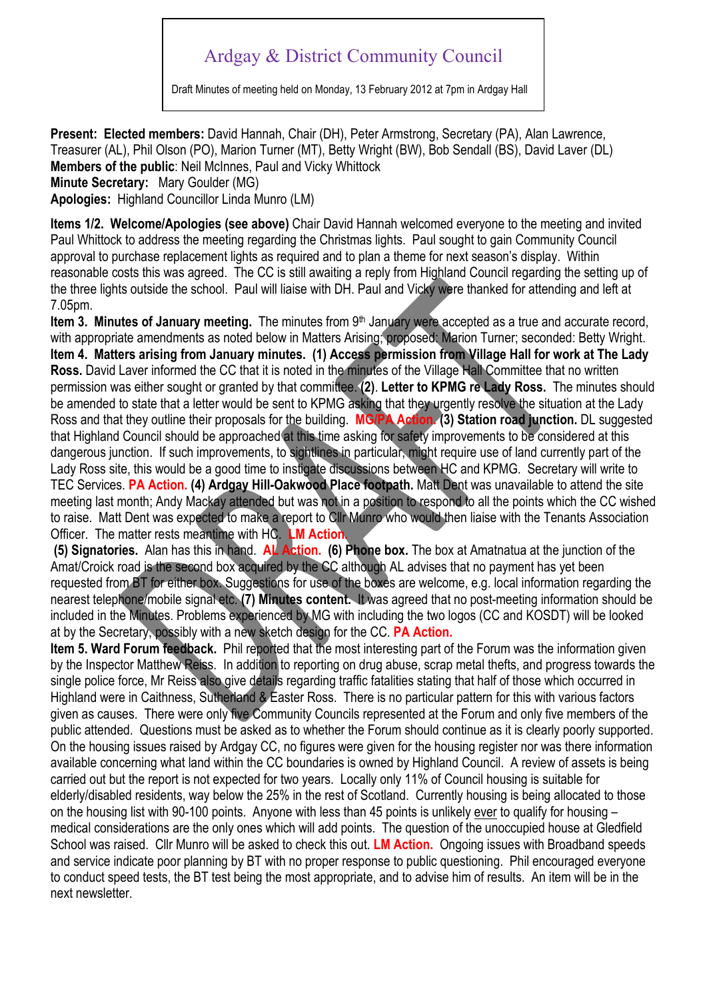## Ardgay & District Community Council

Draft Minutes of meeting held on Monday, 13 February 2012 at 7pm in Ardgay Hall

**Present: Elected members:** David Hannah, Chair (DH), Peter Armstrong, Secretary (PA), Alan Lawrence, Treasurer (AL), Phil Olson (PO), Marion Turner (MT), Betty Wright (BW), Bob Sendall (BS), David Laver (DL) **Members of the public**: Neil McInnes, Paul and Vicky Whittock **Minute Secretary:** Mary Goulder (MG)

**Apologies:** Highland Councillor Linda Munro (LM)

**Items 1/2. Welcome/Apologies (see above)** Chair David Hannah welcomed everyone to the meeting and invited Paul Whittock to address the meeting regarding the Christmas lights. Paul sought to gain Community Council approval to purchase replacement lights as required and to plan a theme for next season's display. Within reasonable costs this was agreed. The CC is still awaiting a reply from Highland Council regarding the setting up of the three lights outside the school. Paul will liaise with DH. Paul and Vicky were thanked for attending and left at 7.05pm.

**Item 3. Minutes of January meeting.** The minutes from 9<sup>th</sup> January were accepted as a true and accurate record, with appropriate amendments as noted below in Matters Arising; proposed: Marion Turner; seconded: Betty Wright. **Item 4. Matters arising from January minutes. (1) Access permission from Village Hall for work at The Lady Ross.** David Laver informed the CC that it is noted in the minutes of the Village Hall Committee that no written permission was either sought or granted by that committee. **(2)**. **Letter to KPMG re Lady Ross.** The minutes should be amended to state that a letter would be sent to KPMG asking that they urgently resolve the situation at the Lady Ross and that they outline their proposals for the building. **MG/PA Action. (3) Station road junction.** DL suggested that Highland Council should be approached at this time asking for safety improvements to be considered at this dangerous junction. If such improvements, to sightlines in particular, might require use of land currently part of the Lady Ross site, this would be a good time to instigate discussions between HC and KPMG. Secretary will write to TEC Services. **PA Action. (4) Ardgay Hill-Oakwood Place footpath.** Matt Dent was unavailable to attend the site meeting last month; Andy Mackay attended but was not in a position to respond to all the points which the CC wished to raise. Matt Dent was expected to make a report to Cllr Munro who would then liaise with the Tenants Association Officer. The matter rests meantime with HC. **LM Action.** 

 **(5) Signatories.** Alan has this in hand. **AL Action. (6) Phone box.** The box at Amatnatua at the junction of the Amat/Croick road is the second box acquired by the CC although AL advises that no payment has yet been requested from BT for either box. Suggestions for use of the boxes are welcome, e.g. local information regarding the nearest telephone/mobile signal etc. **(7) Minutes content.** It was agreed that no post-meeting information should be included in the Minutes. Problems experienced by MG with including the two logos (CC and KOSDT) will be looked at by the Secretary, possibly with a new sketch design for the CC. **PA Action.**

**Item 5. Ward Forum feedback.** Phil reported that the most interesting part of the Forum was the information given by the Inspector Matthew Reiss. In addition to reporting on drug abuse, scrap metal thefts, and progress towards the single police force, Mr Reiss also give details regarding traffic fatalities stating that half of those which occurred in Highland were in Caithness, Sutherland & Easter Ross. There is no particular pattern for this with various factors given as causes. There were only five Community Councils represented at the Forum and only five members of the public attended. Questions must be asked as to whether the Forum should continue as it is clearly poorly supported. On the housing issues raised by Ardgay CC, no figures were given for the housing register nor was there information available concerning what land within the CC boundaries is owned by Highland Council. A review of assets is being carried out but the report is not expected for two years. Locally only 11% of Council housing is suitable for elderly/disabled residents, way below the 25% in the rest of Scotland. Currently housing is being allocated to those on the housing list with 90-100 points. Anyone with less than 45 points is unlikely ever to qualify for housing – medical considerations are the only ones which will add points. The question of the unoccupied house at Gledfield School was raised. Cllr Munro will be asked to check this out. **LM Action.** Ongoing issues with Broadband speeds and service indicate poor planning by BT with no proper response to public questioning. Phil encouraged everyone to conduct speed tests, the BT test being the most appropriate, and to advise him of results. An item will be in the next newsletter.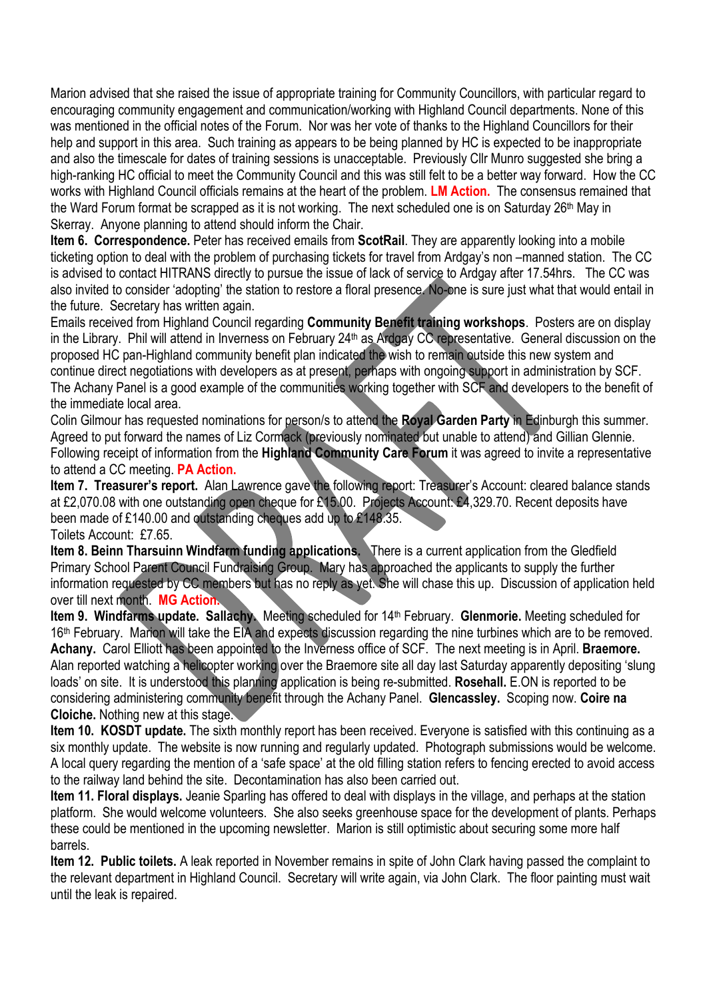Marion advised that she raised the issue of appropriate training for Community Councillors, with particular regard to encouraging community engagement and communication/working with Highland Council departments. None of this was mentioned in the official notes of the Forum. Nor was her vote of thanks to the Highland Councillors for their help and support in this area. Such training as appears to be being planned by HC is expected to be inappropriate and also the timescale for dates of training sessions is unacceptable. Previously Cllr Munro suggested she bring a high-ranking HC official to meet the Community Council and this was still felt to be a better way forward. How the CC works with Highland Council officials remains at the heart of the problem. **LM Action.** The consensus remained that the Ward Forum format be scrapped as it is not working. The next scheduled one is on Saturday 26<sup>th</sup> May in Skerray. Anyone planning to attend should inform the Chair.

**Item 6. Correspondence.** Peter has received emails from **ScotRail**. They are apparently looking into a mobile ticketing option to deal with the problem of purchasing tickets for travel from Ardgay's non –manned station. The CC is advised to contact HITRANS directly to pursue the issue of lack of service to Ardgay after 17.54hrs. The CC was also invited to consider 'adopting' the station to restore a floral presence. No-one is sure just what that would entail in the future. Secretary has written again.

Emails received from Highland Council regarding **Community Benefit training workshops**. Posters are on display in the Library. Phil will attend in Inverness on February 24<sup>th</sup> as Ardgay CC representative. General discussion on the proposed HC pan-Highland community benefit plan indicated the wish to remain outside this new system and continue direct negotiations with developers as at present, perhaps with ongoing support in administration by SCF. The Achany Panel is a good example of the communities working together with SCF and developers to the benefit of the immediate local area.

Colin Gilmour has requested nominations for person/s to attend the **Royal Garden Party** in Edinburgh this summer. Agreed to put forward the names of Liz Cormack (previously nominated but unable to attend) and Gillian Glennie. Following receipt of information from the **Highland Community Care Forum** it was agreed to invite a representative to attend a CC meeting. **PA Action.** 

**Item 7. Treasurer's report.** Alan Lawrence gave the following report: Treasurer's Account: cleared balance stands at £2,070.08 with one outstanding open cheque for £15.00. Projects Account: £4,329.70. Recent deposits have been made of £140.00 and outstanding cheques add up to £148.35. Toilets Account: £7.65.

**Item 8. Beinn Tharsuinn Windfarm funding applications.** There is a current application from the Gledfield Primary School Parent Council Fundraising Group. Mary has approached the applicants to supply the further information requested by CC members but has no reply as yet. She will chase this up. Discussion of application held over till next month. **MG Action.** 

**Item 9. Windfarms update. Sallachy.** Meeting scheduled for 14<sup>th</sup> February. Glenmorie. Meeting scheduled for 16<sup>th</sup> February. Marion will take the EIA and expects discussion regarding the nine turbines which are to be removed. **Achany.** Carol Elliott has been appointed to the Inverness office of SCF. The next meeting is in April. **Braemore.**  Alan reported watching a helicopter working over the Braemore site all day last Saturday apparently depositing 'slung loads' on site. It is understood this planning application is being re-submitted. **Rosehall.** E.ON is reported to be considering administering community benefit through the Achany Panel. **Glencassley.** Scoping now. **Coire na Cloiche.** Nothing new at this stage.

**Item 10. KOSDT update.** The sixth monthly report has been received. Everyone is satisfied with this continuing as a six monthly update. The website is now running and regularly updated. Photograph submissions would be welcome. A local query regarding the mention of a 'safe space' at the old filling station refers to fencing erected to avoid access to the railway land behind the site. Decontamination has also been carried out.

**Item 11. Floral displays.** Jeanie Sparling has offered to deal with displays in the village, and perhaps at the station platform. She would welcome volunteers. She also seeks greenhouse space for the development of plants. Perhaps these could be mentioned in the upcoming newsletter. Marion is still optimistic about securing some more half barrels.

**Item 12. Public toilets.** A leak reported in November remains in spite of John Clark having passed the complaint to the relevant department in Highland Council. Secretary will write again, via John Clark. The floor painting must wait until the leak is repaired.